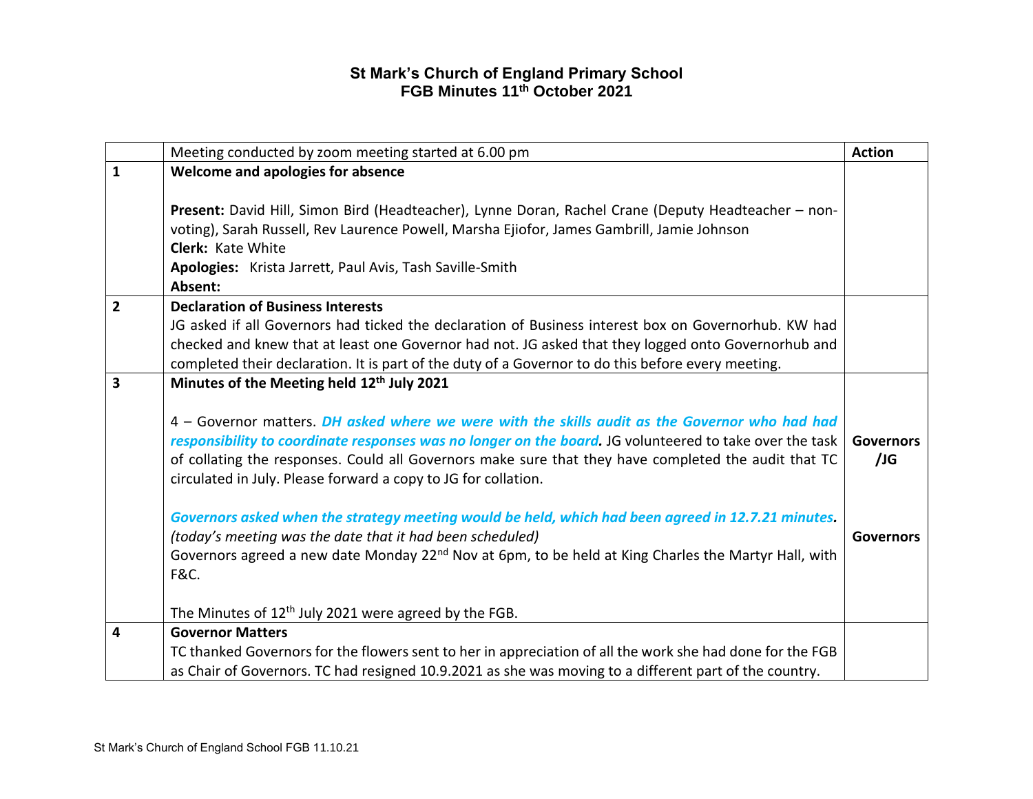|                | Meeting conducted by zoom meeting started at 6.00 pm                                                                                                                                                                                                                                                                                                                                | <b>Action</b>           |
|----------------|-------------------------------------------------------------------------------------------------------------------------------------------------------------------------------------------------------------------------------------------------------------------------------------------------------------------------------------------------------------------------------------|-------------------------|
| $\mathbf{1}$   | Welcome and apologies for absence                                                                                                                                                                                                                                                                                                                                                   |                         |
|                | Present: David Hill, Simon Bird (Headteacher), Lynne Doran, Rachel Crane (Deputy Headteacher - non-<br>voting), Sarah Russell, Rev Laurence Powell, Marsha Ejiofor, James Gambrill, Jamie Johnson                                                                                                                                                                                   |                         |
|                | Clerk: Kate White                                                                                                                                                                                                                                                                                                                                                                   |                         |
|                | Apologies: Krista Jarrett, Paul Avis, Tash Saville-Smith                                                                                                                                                                                                                                                                                                                            |                         |
|                | Absent:                                                                                                                                                                                                                                                                                                                                                                             |                         |
| $\overline{2}$ | <b>Declaration of Business Interests</b>                                                                                                                                                                                                                                                                                                                                            |                         |
|                | JG asked if all Governors had ticked the declaration of Business interest box on Governorhub. KW had                                                                                                                                                                                                                                                                                |                         |
|                | checked and knew that at least one Governor had not. JG asked that they logged onto Governorhub and                                                                                                                                                                                                                                                                                 |                         |
|                | completed their declaration. It is part of the duty of a Governor to do this before every meeting.                                                                                                                                                                                                                                                                                  |                         |
| 3              | Minutes of the Meeting held 12 <sup>th</sup> July 2021                                                                                                                                                                                                                                                                                                                              |                         |
|                | 4 – Governor matters. DH asked where we were with the skills audit as the Governor who had had<br>responsibility to coordinate responses was no longer on the board. JG volunteered to take over the task<br>of collating the responses. Could all Governors make sure that they have completed the audit that TC<br>circulated in July. Please forward a copy to JG for collation. | <b>Governors</b><br>/JG |
|                | Governors asked when the strategy meeting would be held, which had been agreed in 12.7.21 minutes.<br>(today's meeting was the date that it had been scheduled)                                                                                                                                                                                                                     | <b>Governors</b>        |
|                | Governors agreed a new date Monday 22 <sup>nd</sup> Nov at 6pm, to be held at King Charles the Martyr Hall, with<br><b>F&amp;C.</b>                                                                                                                                                                                                                                                 |                         |
|                | The Minutes of 12 <sup>th</sup> July 2021 were agreed by the FGB.                                                                                                                                                                                                                                                                                                                   |                         |
| 4              | <b>Governor Matters</b>                                                                                                                                                                                                                                                                                                                                                             |                         |
|                | TC thanked Governors for the flowers sent to her in appreciation of all the work she had done for the FGB<br>as Chair of Governors. TC had resigned 10.9.2021 as she was moving to a different part of the country.                                                                                                                                                                 |                         |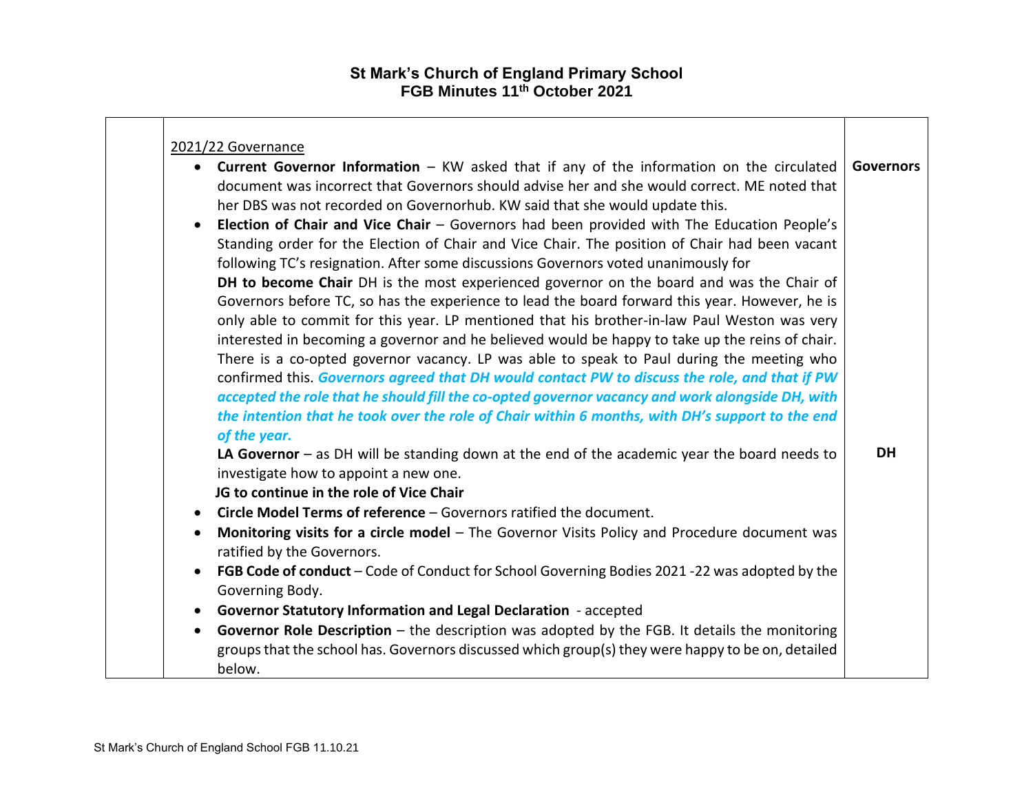|                        | 2021/22 Governance                                                                                                                                                                                                                                                                                                                                                                                                                                                                                                                                                                                                                                                                                                    |           |
|------------------------|-----------------------------------------------------------------------------------------------------------------------------------------------------------------------------------------------------------------------------------------------------------------------------------------------------------------------------------------------------------------------------------------------------------------------------------------------------------------------------------------------------------------------------------------------------------------------------------------------------------------------------------------------------------------------------------------------------------------------|-----------|
| $\bullet$              | • Current Governor Information – KW asked that if any of the information on the circulated<br>document was incorrect that Governors should advise her and she would correct. ME noted that<br>her DBS was not recorded on Governorhub. KW said that she would update this.<br>Election of Chair and Vice Chair - Governors had been provided with The Education People's<br>Standing order for the Election of Chair and Vice Chair. The position of Chair had been vacant<br>following TC's resignation. After some discussions Governors voted unanimously for<br>DH to become Chair DH is the most experienced governor on the board and was the Chair of                                                          | Governors |
|                        | Governors before TC, so has the experience to lead the board forward this year. However, he is<br>only able to commit for this year. LP mentioned that his brother-in-law Paul Weston was very<br>interested in becoming a governor and he believed would be happy to take up the reins of chair.<br>There is a co-opted governor vacancy. LP was able to speak to Paul during the meeting who<br>confirmed this. Governors agreed that DH would contact PW to discuss the role, and that if PW<br>accepted the role that he should fill the co-opted governor vacancy and work alongside DH, with<br>the intention that he took over the role of Chair within 6 months, with DH's support to the end<br>of the year. |           |
| $\bullet$              | LA Governor $-$ as DH will be standing down at the end of the academic year the board needs to<br>investigate how to appoint a new one.<br>JG to continue in the role of Vice Chair<br>Circle Model Terms of reference - Governors ratified the document.                                                                                                                                                                                                                                                                                                                                                                                                                                                             | <b>DH</b> |
| $\bullet$<br>$\bullet$ | Monitoring visits for a circle model - The Governor Visits Policy and Procedure document was<br>ratified by the Governors.<br>FGB Code of conduct - Code of Conduct for School Governing Bodies 2021 -22 was adopted by the<br>Governing Body.                                                                                                                                                                                                                                                                                                                                                                                                                                                                        |           |
| $\bullet$<br>$\bullet$ | Governor Statutory Information and Legal Declaration - accepted<br>Governor Role Description $-$ the description was adopted by the FGB. It details the monitoring<br>groups that the school has. Governors discussed which group(s) they were happy to be on, detailed<br>below.                                                                                                                                                                                                                                                                                                                                                                                                                                     |           |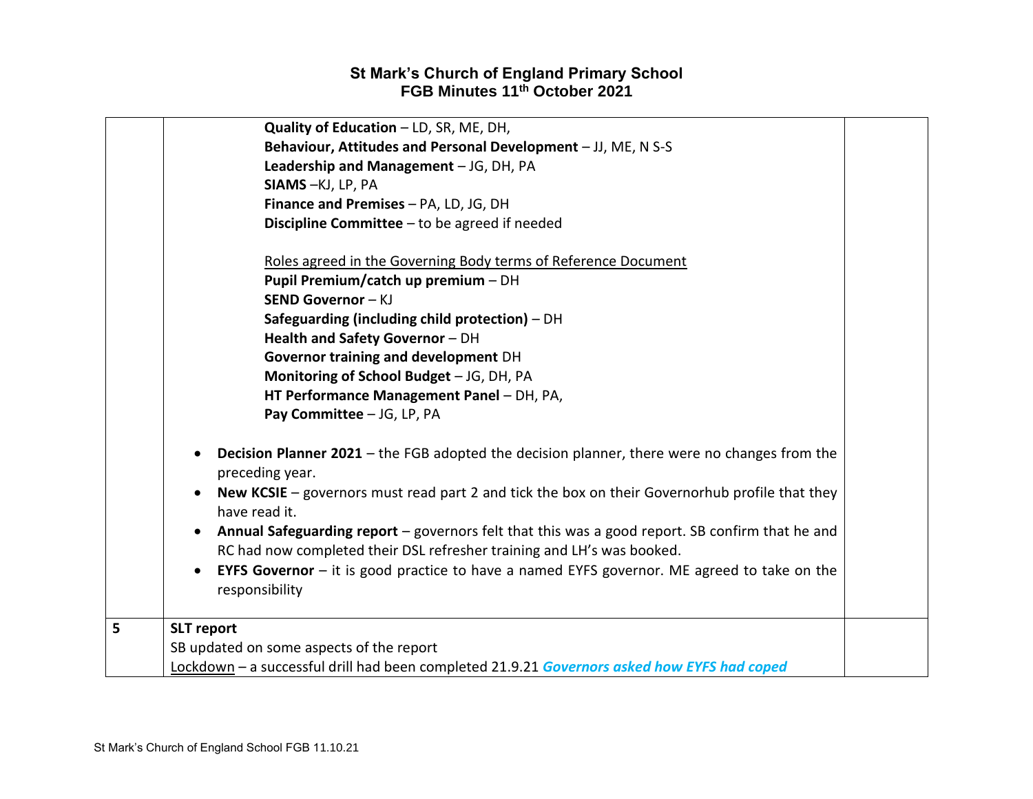|   | Quality of Education - LD, SR, ME, DH,                                                                                              |  |
|---|-------------------------------------------------------------------------------------------------------------------------------------|--|
|   | Behaviour, Attitudes and Personal Development - JJ, ME, N S-S                                                                       |  |
|   | Leadership and Management - JG, DH, PA                                                                                              |  |
|   | SIAMS-KJ, LP, PA                                                                                                                    |  |
|   | Finance and Premises - PA, LD, JG, DH                                                                                               |  |
|   | Discipline Committee $-$ to be agreed if needed                                                                                     |  |
|   |                                                                                                                                     |  |
|   | Roles agreed in the Governing Body terms of Reference Document                                                                      |  |
|   | Pupil Premium/catch up premium - DH                                                                                                 |  |
|   | SEND Governor - KJ                                                                                                                  |  |
|   | Safeguarding (including child protection) $-$ DH                                                                                    |  |
|   | Health and Safety Governor - DH                                                                                                     |  |
|   | Governor training and development DH                                                                                                |  |
|   | Monitoring of School Budget - JG, DH, PA                                                                                            |  |
|   | HT Performance Management Panel - DH, PA,                                                                                           |  |
|   | Pay Committee - JG, LP, PA                                                                                                          |  |
|   | <b>Decision Planner 2021</b> – the FGB adopted the decision planner, there were no changes from the<br>$\bullet$<br>preceding year. |  |
|   | New KCSIE $-$ governors must read part 2 and tick the box on their Governorhub profile that they<br>have read it.                   |  |
|   | Annual Safeguarding report - governors felt that this was a good report. SB confirm that he and<br>$\bullet$                        |  |
|   | RC had now completed their DSL refresher training and LH's was booked.                                                              |  |
|   | <b>EYFS Governor</b> $-$ it is good practice to have a named EYFS governor. ME agreed to take on the<br>$\bullet$                   |  |
|   | responsibility                                                                                                                      |  |
|   |                                                                                                                                     |  |
| 5 | <b>SLT</b> report                                                                                                                   |  |
|   | SB updated on some aspects of the report                                                                                            |  |
|   | Lockdown - a successful drill had been completed 21.9.21 Governors asked how EYFS had coped                                         |  |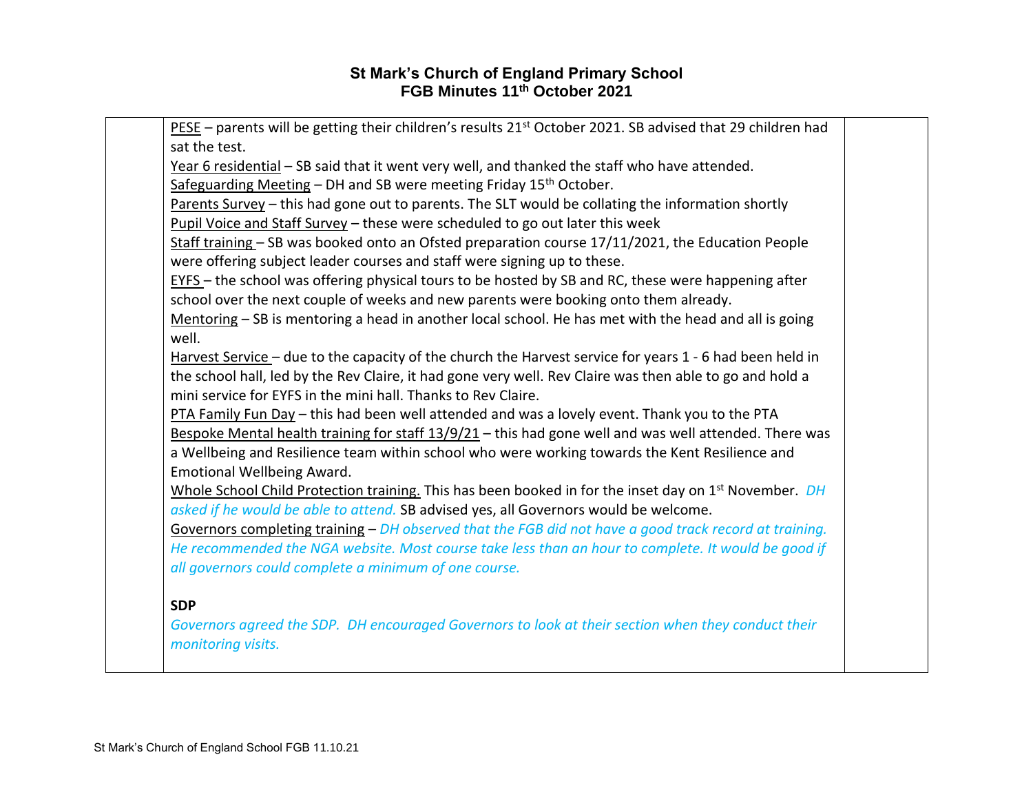| $PESE$ – parents will be getting their children's results 21 <sup>st</sup> October 2021. SB advised that 29 children had |  |
|--------------------------------------------------------------------------------------------------------------------------|--|
| sat the test.                                                                                                            |  |
| Year 6 residential - SB said that it went very well, and thanked the staff who have attended.                            |  |
| Safeguarding Meeting - DH and SB were meeting Friday 15 <sup>th</sup> October.                                           |  |
| Parents Survey - this had gone out to parents. The SLT would be collating the information shortly                        |  |
| Pupil Voice and Staff Survey - these were scheduled to go out later this week                                            |  |
| Staff training - SB was booked onto an Ofsted preparation course 17/11/2021, the Education People                        |  |
| were offering subject leader courses and staff were signing up to these.                                                 |  |
| EYFS - the school was offering physical tours to be hosted by SB and RC, these were happening after                      |  |
| school over the next couple of weeks and new parents were booking onto them already.                                     |  |
| Mentoring - SB is mentoring a head in another local school. He has met with the head and all is going                    |  |
| well.                                                                                                                    |  |
| Harvest Service - due to the capacity of the church the Harvest service for years 1 - 6 had been held in                 |  |
| the school hall, led by the Rev Claire, it had gone very well. Rev Claire was then able to go and hold a                 |  |
| mini service for EYFS in the mini hall. Thanks to Rev Claire.                                                            |  |
| PTA Family Fun Day - this had been well attended and was a lovely event. Thank you to the PTA                            |  |
| Bespoke Mental health training for staff 13/9/21 - this had gone well and was well attended. There was                   |  |
| a Wellbeing and Resilience team within school who were working towards the Kent Resilience and                           |  |
| Emotional Wellbeing Award.                                                                                               |  |
| Whole School Child Protection training. This has been booked in for the inset day on 1 <sup>st</sup> November. <i>DH</i> |  |
| asked if he would be able to attend. SB advised yes, all Governors would be welcome.                                     |  |
| Governors completing training - DH observed that the FGB did not have a good track record at training.                   |  |
| He recommended the NGA website. Most course take less than an hour to complete. It would be good if                      |  |
| all governors could complete a minimum of one course.                                                                    |  |
|                                                                                                                          |  |
| <b>SDP</b>                                                                                                               |  |
| Governors agreed the SDP. DH encouraged Governors to look at their section when they conduct their                       |  |
| monitoring visits.                                                                                                       |  |
|                                                                                                                          |  |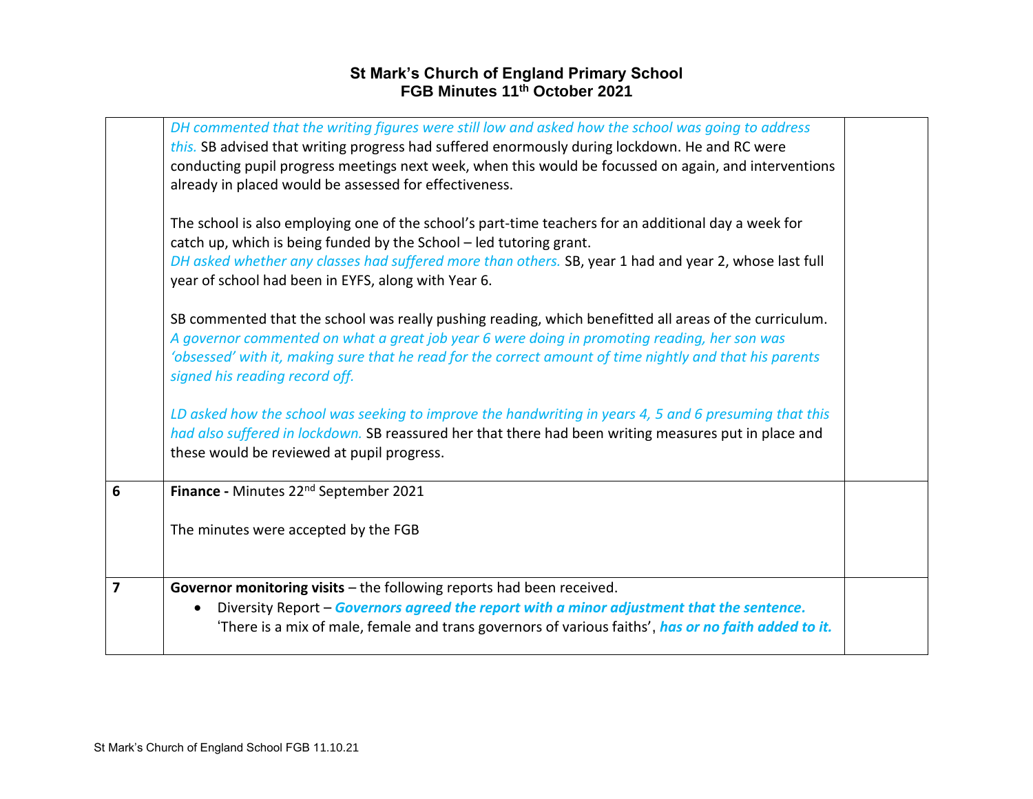|                         | DH commented that the writing figures were still low and asked how the school was going to address<br>this. SB advised that writing progress had suffered enormously during lockdown. He and RC were<br>conducting pupil progress meetings next week, when this would be focussed on again, and interventions<br>already in placed would be assessed for effectiveness. |  |
|-------------------------|-------------------------------------------------------------------------------------------------------------------------------------------------------------------------------------------------------------------------------------------------------------------------------------------------------------------------------------------------------------------------|--|
|                         | The school is also employing one of the school's part-time teachers for an additional day a week for<br>catch up, which is being funded by the School - led tutoring grant.<br>DH asked whether any classes had suffered more than others. SB, year 1 had and year 2, whose last full<br>year of school had been in EYFS, along with Year 6.                            |  |
|                         | SB commented that the school was really pushing reading, which benefitted all areas of the curriculum.<br>A governor commented on what a great job year 6 were doing in promoting reading, her son was<br>'obsessed' with it, making sure that he read for the correct amount of time nightly and that his parents<br>signed his reading record off.                    |  |
|                         | LD asked how the school was seeking to improve the handwriting in years 4, 5 and 6 presuming that this<br>had also suffered in lockdown. SB reassured her that there had been writing measures put in place and<br>these would be reviewed at pupil progress.                                                                                                           |  |
| 6                       | Finance - Minutes 22 <sup>nd</sup> September 2021                                                                                                                                                                                                                                                                                                                       |  |
|                         | The minutes were accepted by the FGB                                                                                                                                                                                                                                                                                                                                    |  |
| $\overline{\mathbf{z}}$ | Governor monitoring visits - the following reports had been received.<br>Diversity Report - Governors agreed the report with a minor adjustment that the sentence.<br>$\bullet$<br>'There is a mix of male, female and trans governors of various faiths', has or no faith added to it.                                                                                 |  |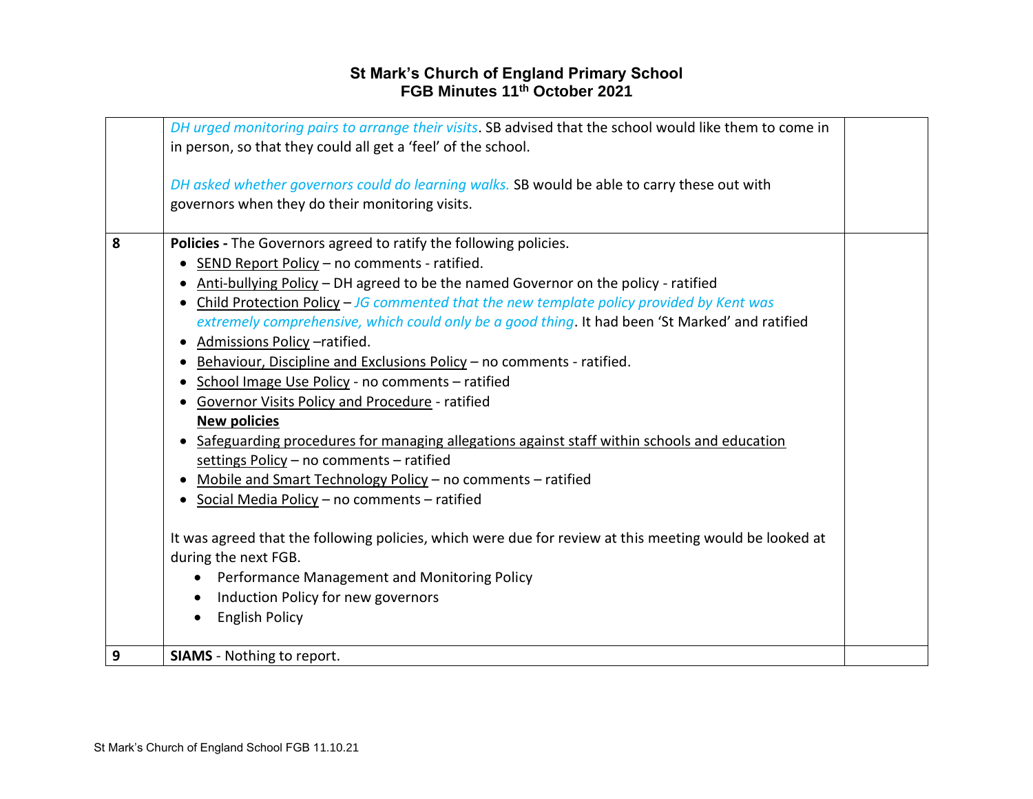|   | DH urged monitoring pairs to arrange their visits. SB advised that the school would like them to come in<br>in person, so that they could all get a 'feel' of the school.                                                                                                                                                                                                                                                                                                                                                                                                                                                                                                                                                                                                                                                                                                                                                                                                                                                                                                                                                                                                                            |  |
|---|------------------------------------------------------------------------------------------------------------------------------------------------------------------------------------------------------------------------------------------------------------------------------------------------------------------------------------------------------------------------------------------------------------------------------------------------------------------------------------------------------------------------------------------------------------------------------------------------------------------------------------------------------------------------------------------------------------------------------------------------------------------------------------------------------------------------------------------------------------------------------------------------------------------------------------------------------------------------------------------------------------------------------------------------------------------------------------------------------------------------------------------------------------------------------------------------------|--|
|   | DH asked whether governors could do learning walks. SB would be able to carry these out with<br>governors when they do their monitoring visits.                                                                                                                                                                                                                                                                                                                                                                                                                                                                                                                                                                                                                                                                                                                                                                                                                                                                                                                                                                                                                                                      |  |
| 8 | Policies - The Governors agreed to ratify the following policies.<br>SEND Report Policy - no comments - ratified.<br>Anti-bullying Policy - DH agreed to be the named Governor on the policy - ratified<br>Child Protection Policy - JG commented that the new template policy provided by Kent was<br>extremely comprehensive, which could only be a good thing. It had been 'St Marked' and ratified<br>Admissions Policy -ratified.<br>$\bullet$<br>Behaviour, Discipline and Exclusions Policy - no comments - ratified.<br>• School Image Use Policy - no comments - ratified<br>Governor Visits Policy and Procedure - ratified<br><b>New policies</b><br>• Safeguarding procedures for managing allegations against staff within schools and education<br>settings Policy - no comments - ratified<br>Mobile and Smart Technology Policy - no comments - ratified<br>Social Media Policy - no comments - ratified<br>It was agreed that the following policies, which were due for review at this meeting would be looked at<br>during the next FGB.<br>Performance Management and Monitoring Policy<br>Induction Policy for new governors<br>$\bullet$<br><b>English Policy</b><br>$\bullet$ |  |
| 9 | <b>SIAMS</b> - Nothing to report.                                                                                                                                                                                                                                                                                                                                                                                                                                                                                                                                                                                                                                                                                                                                                                                                                                                                                                                                                                                                                                                                                                                                                                    |  |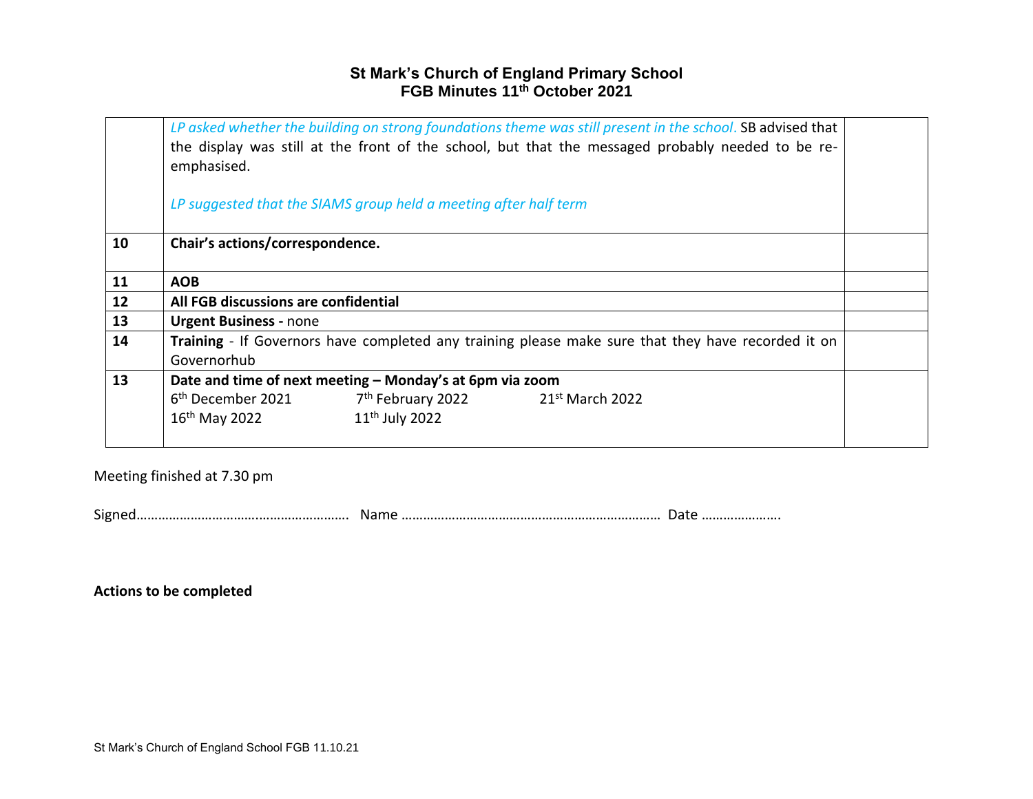|    | LP asked whether the building on strong foundations theme was still present in the school. SB advised that<br>the display was still at the front of the school, but that the messaged probably needed to be re-<br>emphasised. |  |
|----|--------------------------------------------------------------------------------------------------------------------------------------------------------------------------------------------------------------------------------|--|
|    | LP suggested that the SIAMS group held a meeting after half term                                                                                                                                                               |  |
| 10 | Chair's actions/correspondence.                                                                                                                                                                                                |  |
| 11 | <b>AOB</b>                                                                                                                                                                                                                     |  |
| 12 | All FGB discussions are confidential                                                                                                                                                                                           |  |
| 13 | <b>Urgent Business - none</b>                                                                                                                                                                                                  |  |
| 14 | Training - If Governors have completed any training please make sure that they have recorded it on<br>Governorhub                                                                                                              |  |
| 13 | Date and time of next meeting - Monday's at 6pm via zoom                                                                                                                                                                       |  |
|    | $7th$ February 2022 21st March 2022<br>6 <sup>th</sup> December 2021                                                                                                                                                           |  |
|    | 11 <sup>th</sup> July 2022<br>16 <sup>th</sup> May 2022                                                                                                                                                                        |  |

Meeting finished at 7.30 pm

Signed…………………………….……………………. Name ……………………………………………………………… Date ………………….

**Actions to be completed**